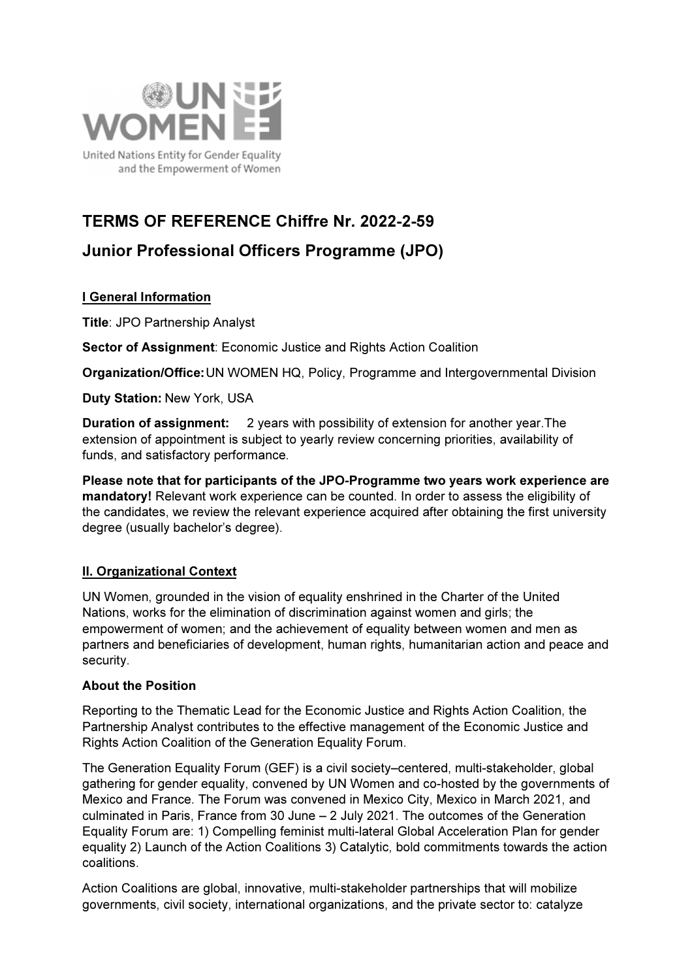

# TERMS OF REFERENCE Chiffre Nr. 2022-2-59

## Junior Professional Officers Programme (JPO)

## I General Information

Title: JPO Partnership Analyst

Sector of Assignment: Economic Justice and Rights Action Coalition

Organization/Office: UN WOMEN HQ, Policy, Programme and Intergovernmental Division

Duty Station: New York, USA

Duration of assignment: 2 years with possibility of extension for another year.The extension of appointment is subject to yearly review concerning priorities, availability of funds, and satisfactory performance.

Please note that for participants of the JPO-Programme two years work experience are mandatory! Relevant work experience can be counted. In order to assess the eligibility of the candidates, we review the relevant experience acquired after obtaining the first university degree (usually bachelor's degree).

### II. Organizational Context

UN Women, grounded in the vision of equality enshrined in the Charter of the United Nations, works for the elimination of discrimination against women and girls; the empowerment of women; and the achievement of equality between women and men as partners and beneficiaries of development, human rights, humanitarian action and peace and security.

#### About the Position

Reporting to the Thematic Lead for the Economic Justice and Rights Action Coalition, the Partnership Analyst contributes to the effective management of the Economic Justice and Rights Action Coalition of the Generation Equality Forum.

The Generation Equality Forum (GEF) is a civil society–centered, multi-stakeholder, global gathering for gender equality, convened by UN Women and co-hosted by the governments of Mexico and France. The Forum was convened in Mexico City, Mexico in March 2021, and culminated in Paris, France from 30 June – 2 July 2021. The outcomes of the Generation Equality Forum are: 1) Compelling feminist multi-lateral Global Acceleration Plan for gender equality 2) Launch of the Action Coalitions 3) Catalytic, bold commitments towards the action coalitions.

Action Coalitions are global, innovative, multi-stakeholder partnerships that will mobilize governments, civil society, international organizations, and the private sector to: catalyze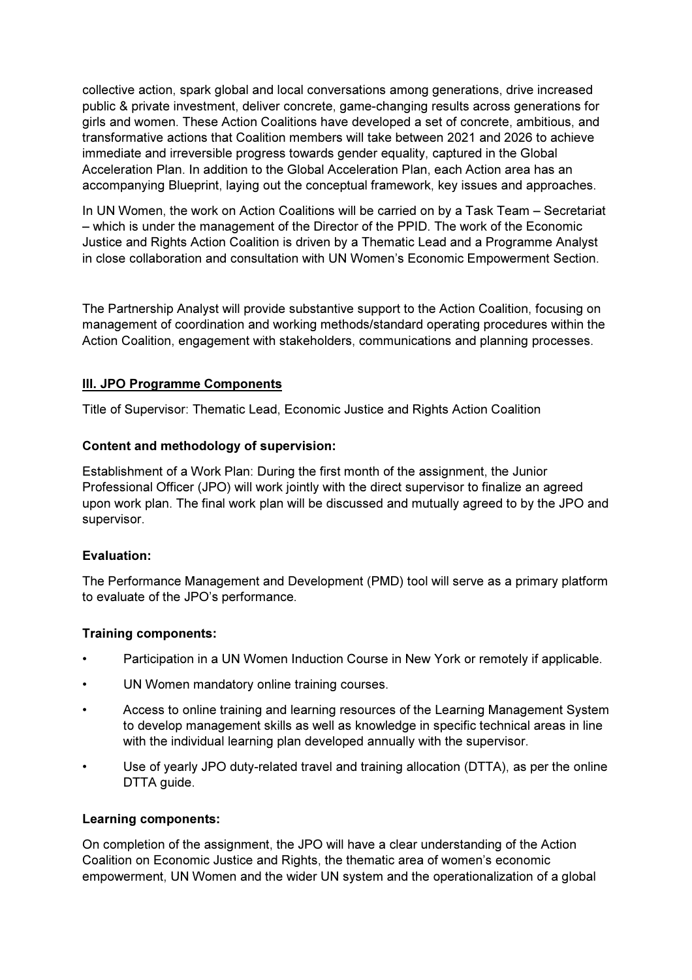collective action, spark global and local conversations among generations, drive increased public & private investment, deliver concrete, game-changing results across generations for girls and women. These Action Coalitions have developed a set of concrete, ambitious, and transformative actions that Coalition members will take between 2021 and 2026 to achieve immediate and irreversible progress towards gender equality, captured in the Global Acceleration Plan. In addition to the Global Acceleration Plan, each Action area has an accompanying Blueprint, laying out the conceptual framework, key issues and approaches.

In UN Women, the work on Action Coalitions will be carried on by a Task Team – Secretariat – which is under the management of the Director of the PPID. The work of the Economic Justice and Rights Action Coalition is driven by a Thematic Lead and a Programme Analyst in close collaboration and consultation with UN Women's Economic Empowerment Section.

The Partnership Analyst will provide substantive support to the Action Coalition, focusing on management of coordination and working methods/standard operating procedures within the Action Coalition, engagement with stakeholders, communications and planning processes.

#### III. JPO Programme Components

Title of Supervisor: Thematic Lead, Economic Justice and Rights Action Coalition

#### Content and methodology of supervision:

Establishment of a Work Plan: During the first month of the assignment, the Junior Professional Officer (JPO) will work jointly with the direct supervisor to finalize an agreed upon work plan. The final work plan will be discussed and mutually agreed to by the JPO and supervisor.

#### Evaluation:

The Performance Management and Development (PMD) tool will serve as a primary platform to evaluate of the JPO's performance.

#### Training components:

- Participation in a UN Women Induction Course in New York or remotely if applicable.
- UN Women mandatory online training courses.
- Access to online training and learning resources of the Learning Management System to develop management skills as well as knowledge in specific technical areas in line with the individual learning plan developed annually with the supervisor.
- Use of yearly JPO duty-related travel and training allocation (DTTA), as per the online DTTA guide.

#### Learning components:

On completion of the assignment, the JPO will have a clear understanding of the Action Coalition on Economic Justice and Rights, the thematic area of women's economic empowerment, UN Women and the wider UN system and the operationalization of a global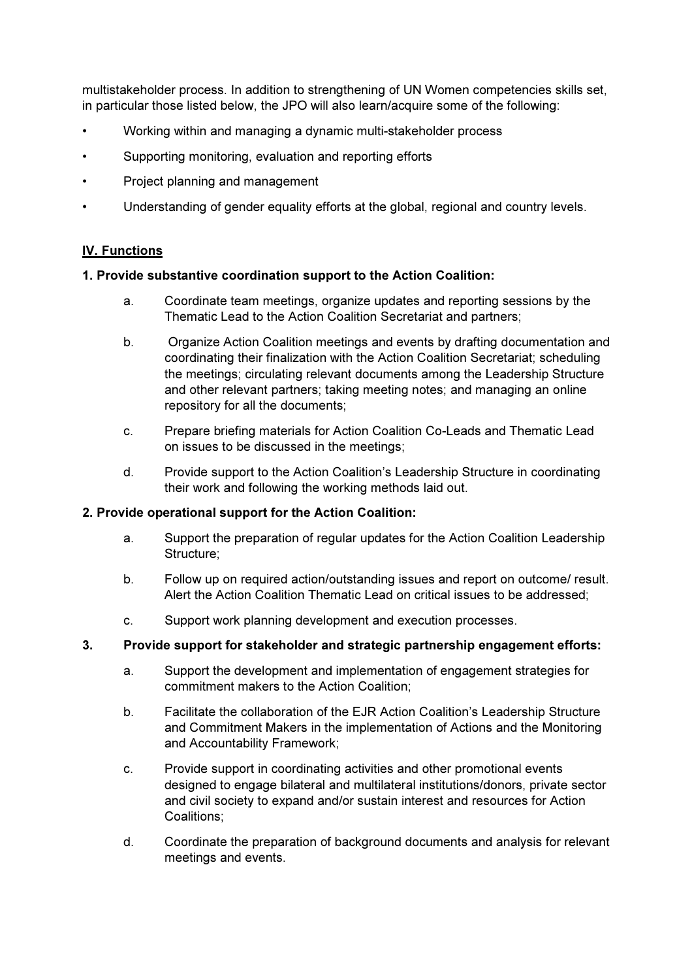multistakeholder process. In addition to strengthening of UN Women competencies skills set, in particular those listed below, the JPO will also learn/acquire some of the following:

- Working within and managing a dynamic multi-stakeholder process
- Supporting monitoring, evaluation and reporting efforts
- Project planning and management
- Understanding of gender equality efforts at the global, regional and country levels.

#### IV. Functions

#### 1. Provide substantive coordination support to the Action Coalition:

- a. Coordinate team meetings, organize updates and reporting sessions by the Thematic Lead to the Action Coalition Secretariat and partners;
- b. Organize Action Coalition meetings and events by drafting documentation and coordinating their finalization with the Action Coalition Secretariat; scheduling the meetings; circulating relevant documents among the Leadership Structure and other relevant partners; taking meeting notes; and managing an online repository for all the documents;
- c. Prepare briefing materials for Action Coalition Co-Leads and Thematic Lead on issues to be discussed in the meetings;
- d. Provide support to the Action Coalition's Leadership Structure in coordinating their work and following the working methods laid out.

#### 2. Provide operational support for the Action Coalition:

- a. Support the preparation of regular updates for the Action Coalition Leadership Structure;
- b. Follow up on required action/outstanding issues and report on outcome/ result. Alert the Action Coalition Thematic Lead on critical issues to be addressed;
- c. Support work planning development and execution processes.

#### 3. Provide support for stakeholder and strategic partnership engagement efforts:

- a. Support the development and implementation of engagement strategies for commitment makers to the Action Coalition;
- b. Facilitate the collaboration of the EJR Action Coalition's Leadership Structure and Commitment Makers in the implementation of Actions and the Monitoring and Accountability Framework;
- c. Provide support in coordinating activities and other promotional events designed to engage bilateral and multilateral institutions/donors, private sector and civil society to expand and/or sustain interest and resources for Action Coalitions;
- d. Coordinate the preparation of background documents and analysis for relevant meetings and events.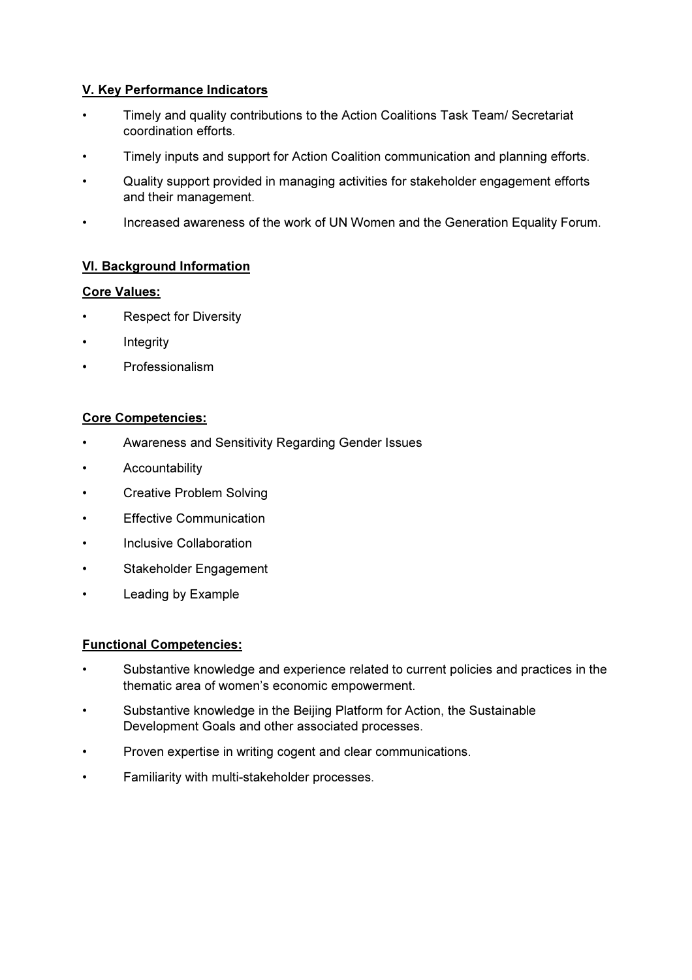### V. Key Performance Indicators

- Timely and quality contributions to the Action Coalitions Task Team/ Secretariat coordination efforts.
- Timely inputs and support for Action Coalition communication and planning efforts.
- Quality support provided in managing activities for stakeholder engagement efforts and their management.
- Increased awareness of the work of UN Women and the Generation Equality Forum.

#### VI. Background Information

#### Core Values:

- **Respect for Diversity**
- **Integrity**
- Professionalism

#### Core Competencies:

- Awareness and Sensitivity Regarding Gender Issues
- **Accountability**
- Creative Problem Solving
- Effective Communication
- Inclusive Collaboration
- Stakeholder Engagement
- Leading by Example

#### Functional Competencies:

- Substantive knowledge and experience related to current policies and practices in the thematic area of women's economic empowerment.
- Substantive knowledge in the Beijing Platform for Action, the Sustainable Development Goals and other associated processes.
- Proven expertise in writing cogent and clear communications.
- Familiarity with multi-stakeholder processes.